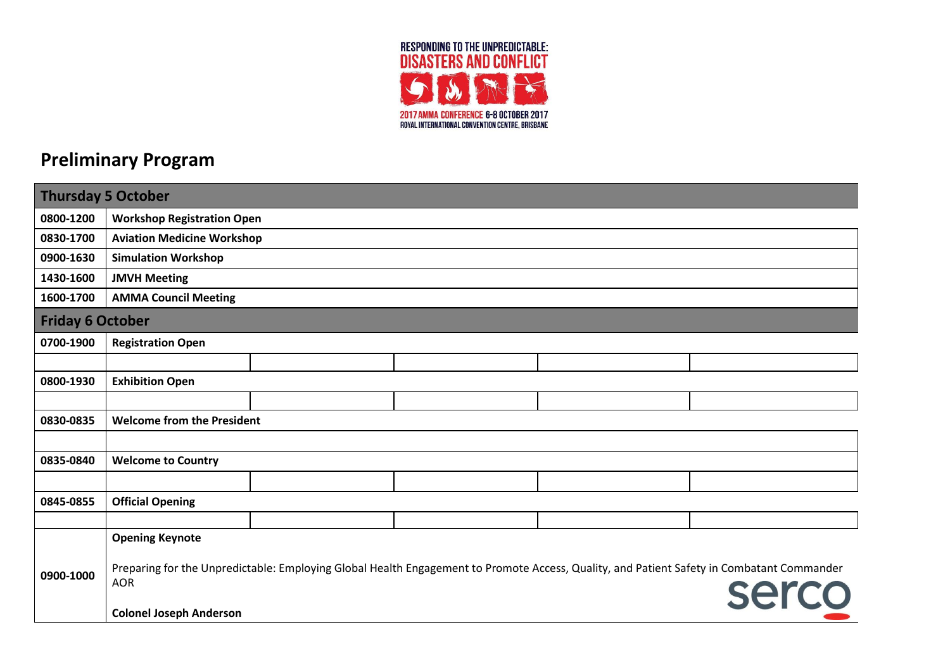

## **Preliminary Program**

| Thursday 5 October |                                   |                                   |  |  |                                                                                                                                                           |  |
|--------------------|-----------------------------------|-----------------------------------|--|--|-----------------------------------------------------------------------------------------------------------------------------------------------------------|--|
| 0800-1200          |                                   | <b>Workshop Registration Open</b> |  |  |                                                                                                                                                           |  |
| 0830-1700          | <b>Aviation Medicine Workshop</b> |                                   |  |  |                                                                                                                                                           |  |
| 0900-1630          | <b>Simulation Workshop</b>        |                                   |  |  |                                                                                                                                                           |  |
| 1430-1600          | <b>JMVH Meeting</b>               |                                   |  |  |                                                                                                                                                           |  |
| 1600-1700          | <b>AMMA Council Meeting</b>       |                                   |  |  |                                                                                                                                                           |  |
|                    | <b>Friday 6 October</b>           |                                   |  |  |                                                                                                                                                           |  |
| 0700-1900          | <b>Registration Open</b>          |                                   |  |  |                                                                                                                                                           |  |
|                    |                                   |                                   |  |  |                                                                                                                                                           |  |
| 0800-1930          | <b>Exhibition Open</b>            |                                   |  |  |                                                                                                                                                           |  |
|                    |                                   |                                   |  |  |                                                                                                                                                           |  |
| 0830-0835          | <b>Welcome from the President</b> |                                   |  |  |                                                                                                                                                           |  |
|                    |                                   |                                   |  |  |                                                                                                                                                           |  |
| 0835-0840          | <b>Welcome to Country</b>         |                                   |  |  |                                                                                                                                                           |  |
|                    |                                   |                                   |  |  |                                                                                                                                                           |  |
| 0845-0855          | <b>Official Opening</b>           |                                   |  |  |                                                                                                                                                           |  |
|                    |                                   |                                   |  |  |                                                                                                                                                           |  |
|                    | <b>Opening Keynote</b>            |                                   |  |  |                                                                                                                                                           |  |
| 0900-1000          | <b>AOR</b>                        |                                   |  |  | Preparing for the Unpredictable: Employing Global Health Engagement to Promote Access, Quality, and Patient Safety in Combatant Commander<br><b>Serco</b> |  |
|                    | <b>Colonel Joseph Anderson</b>    |                                   |  |  |                                                                                                                                                           |  |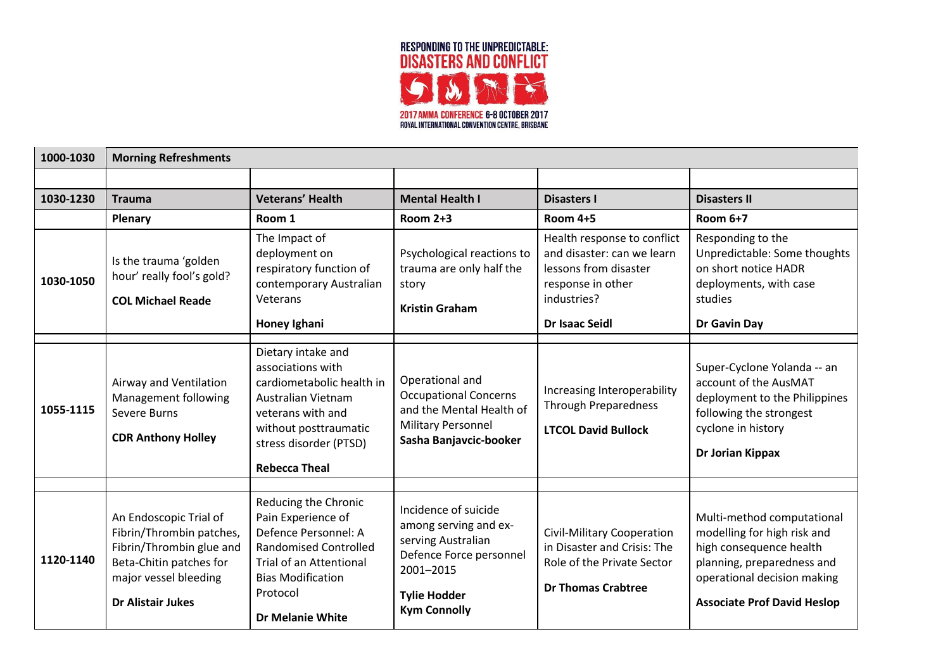

| 1000-1030 | <b>Morning Refreshments</b>                                                                                                                                    |                                                                                                                                                                                            |                                                                                                                                                           |                                                                                                                                                 |                                                                                                                                                                                         |
|-----------|----------------------------------------------------------------------------------------------------------------------------------------------------------------|--------------------------------------------------------------------------------------------------------------------------------------------------------------------------------------------|-----------------------------------------------------------------------------------------------------------------------------------------------------------|-------------------------------------------------------------------------------------------------------------------------------------------------|-----------------------------------------------------------------------------------------------------------------------------------------------------------------------------------------|
|           |                                                                                                                                                                |                                                                                                                                                                                            |                                                                                                                                                           |                                                                                                                                                 |                                                                                                                                                                                         |
| 1030-1230 | <b>Trauma</b>                                                                                                                                                  | <b>Veterans' Health</b>                                                                                                                                                                    | <b>Mental Health I</b>                                                                                                                                    | <b>Disasters I</b>                                                                                                                              | <b>Disasters II</b>                                                                                                                                                                     |
|           | Plenary                                                                                                                                                        | Room 1                                                                                                                                                                                     | <b>Room 2+3</b>                                                                                                                                           | <b>Room 4+5</b>                                                                                                                                 | <b>Room 6+7</b>                                                                                                                                                                         |
| 1030-1050 | Is the trauma 'golden<br>hour' really fool's gold?<br><b>COL Michael Reade</b>                                                                                 | The Impact of<br>deployment on<br>respiratory function of<br>contemporary Australian<br>Veterans<br>Honey Ighani                                                                           | Psychological reactions to<br>trauma are only half the<br>story<br><b>Kristin Graham</b>                                                                  | Health response to conflict<br>and disaster: can we learn<br>lessons from disaster<br>response in other<br>industries?<br><b>Dr Isaac Seidl</b> | Responding to the<br>Unpredictable: Some thoughts<br>on short notice HADR<br>deployments, with case<br>studies<br>Dr Gavin Day                                                          |
| 1055-1115 | Airway and Ventilation<br>Management following<br>Severe Burns<br><b>CDR Anthony Holley</b>                                                                    | Dietary intake and<br>associations with<br>cardiometabolic health in<br>Australian Vietnam<br>veterans with and<br>without posttraumatic<br>stress disorder (PTSD)<br><b>Rebecca Theal</b> | Operational and<br><b>Occupational Concerns</b><br>and the Mental Health of<br><b>Military Personnel</b><br>Sasha Banjavcic-booker                        | Increasing Interoperability<br><b>Through Preparedness</b><br><b>LTCOL David Bullock</b>                                                        | Super-Cyclone Yolanda -- an<br>account of the AusMAT<br>deployment to the Philippines<br>following the strongest<br>cyclone in history<br>Dr Jorian Kippax                              |
|           |                                                                                                                                                                | Reducing the Chronic                                                                                                                                                                       |                                                                                                                                                           |                                                                                                                                                 |                                                                                                                                                                                         |
| 1120-1140 | An Endoscopic Trial of<br>Fibrin/Thrombin patches,<br>Fibrin/Thrombin glue and<br>Beta-Chitin patches for<br>major vessel bleeding<br><b>Dr Alistair Jukes</b> | Pain Experience of<br>Defence Personnel: A<br><b>Randomised Controlled</b><br><b>Trial of an Attentional</b><br><b>Bias Modification</b><br>Protocol<br><b>Dr Melanie White</b>            | Incidence of suicide<br>among serving and ex-<br>serving Australian<br>Defence Force personnel<br>2001-2015<br><b>Tylie Hodder</b><br><b>Kym Connolly</b> | Civil-Military Cooperation<br>in Disaster and Crisis: The<br>Role of the Private Sector<br><b>Dr Thomas Crabtree</b>                            | Multi-method computational<br>modelling for high risk and<br>high consequence health<br>planning, preparedness and<br>operational decision making<br><b>Associate Prof David Heslop</b> |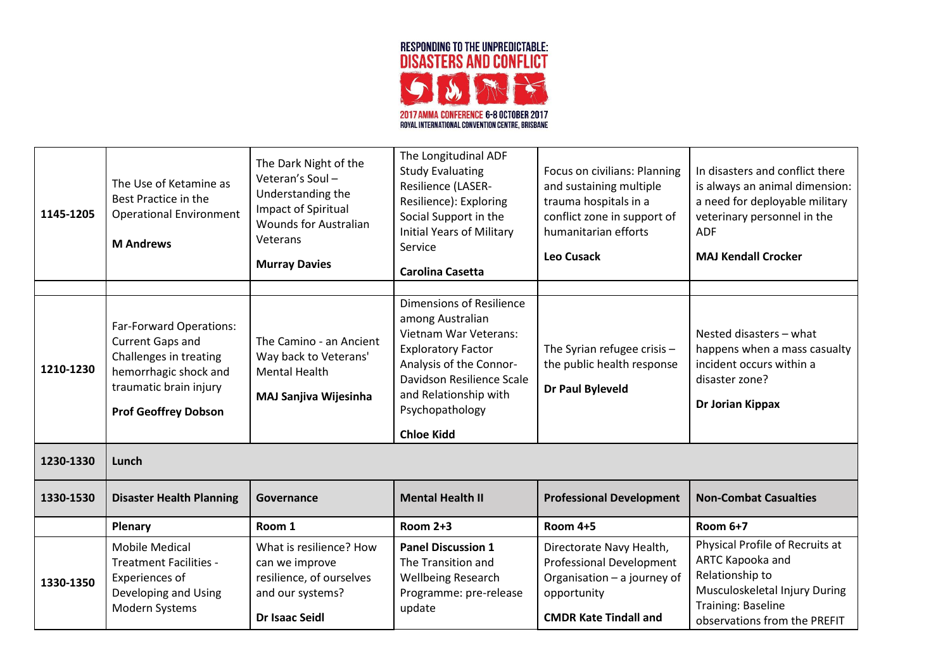

| 1145-1205 | The Use of Ketamine as<br>Best Practice in the<br><b>Operational Environment</b><br><b>M</b> Andrews                                                           | The Dark Night of the<br>Veteran's Soul-<br>Understanding the<br>Impact of Spiritual<br><b>Wounds for Australian</b><br>Veterans<br><b>Murray Davies</b> | The Longitudinal ADF<br><b>Study Evaluating</b><br>Resilience (LASER-<br>Resilience): Exploring<br>Social Support in the<br><b>Initial Years of Military</b><br>Service<br><b>Carolina Casetta</b> | Focus on civilians: Planning<br>and sustaining multiple<br>trauma hospitals in a<br>conflict zone in support of<br>humanitarian efforts<br><b>Leo Cusack</b> | In disasters and conflict there<br>is always an animal dimension:<br>a need for deployable military<br>veterinary personnel in the<br><b>ADF</b><br><b>MAJ Kendall Crocker</b> |
|-----------|----------------------------------------------------------------------------------------------------------------------------------------------------------------|----------------------------------------------------------------------------------------------------------------------------------------------------------|----------------------------------------------------------------------------------------------------------------------------------------------------------------------------------------------------|--------------------------------------------------------------------------------------------------------------------------------------------------------------|--------------------------------------------------------------------------------------------------------------------------------------------------------------------------------|
|           |                                                                                                                                                                |                                                                                                                                                          | <b>Dimensions of Resilience</b>                                                                                                                                                                    |                                                                                                                                                              |                                                                                                                                                                                |
| 1210-1230 | Far-Forward Operations:<br><b>Current Gaps and</b><br>Challenges in treating<br>hemorrhagic shock and<br>traumatic brain injury<br><b>Prof Geoffrey Dobson</b> | The Camino - an Ancient<br>Way back to Veterans'<br><b>Mental Health</b><br>MAJ Sanjiva Wijesinha                                                        | among Australian<br><b>Vietnam War Veterans:</b><br><b>Exploratory Factor</b><br>Analysis of the Connor-<br>Davidson Resilience Scale<br>and Relationship with<br>Psychopathology                  | The Syrian refugee crisis -<br>the public health response<br>Dr Paul Byleveld                                                                                | Nested disasters - what<br>happens when a mass casualty<br>incident occurs within a<br>disaster zone?<br>Dr Jorian Kippax                                                      |
|           |                                                                                                                                                                |                                                                                                                                                          | <b>Chloe Kidd</b>                                                                                                                                                                                  |                                                                                                                                                              |                                                                                                                                                                                |
| 1230-1330 | Lunch                                                                                                                                                          |                                                                                                                                                          |                                                                                                                                                                                                    |                                                                                                                                                              |                                                                                                                                                                                |
| 1330-1530 | <b>Disaster Health Planning</b>                                                                                                                                | Governance                                                                                                                                               | <b>Mental Health II</b>                                                                                                                                                                            | <b>Professional Development</b>                                                                                                                              | <b>Non-Combat Casualties</b>                                                                                                                                                   |
|           | Plenary                                                                                                                                                        | Room 1                                                                                                                                                   | <b>Room 2+3</b>                                                                                                                                                                                    | <b>Room 4+5</b>                                                                                                                                              | <b>Room 6+7</b>                                                                                                                                                                |
| 1330-1350 | <b>Mobile Medical</b><br><b>Treatment Facilities -</b><br>Experiences of<br>Developing and Using<br>Modern Systems                                             | What is resilience? How<br>can we improve<br>resilience, of ourselves<br>and our systems?<br><b>Dr Isaac Seidl</b>                                       | <b>Panel Discussion 1</b><br>The Transition and<br><b>Wellbeing Research</b><br>Programme: pre-release<br>update                                                                                   | Directorate Navy Health,<br><b>Professional Development</b><br>Organisation - a journey of<br>opportunity<br><b>CMDR Kate Tindall and</b>                    | Physical Profile of Recruits at<br>ARTC Kapooka and<br>Relationship to<br>Musculoskeletal Injury During<br>Training: Baseline<br>observations from the PREFIT                  |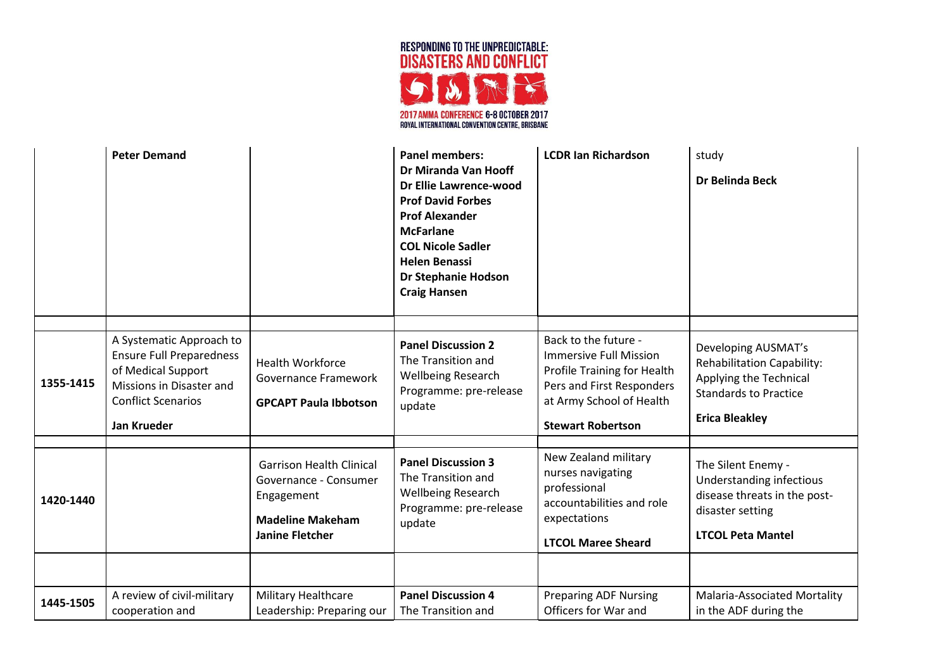

|           | <b>Peter Demand</b>                                                                                                                                       |                                                                                                                             | <b>Panel members:</b><br>Dr Miranda Van Hooff<br>Dr Ellie Lawrence-wood<br><b>Prof David Forbes</b><br><b>Prof Alexander</b><br><b>McFarlane</b><br><b>COL Nicole Sadler</b><br><b>Helen Benassi</b><br><b>Dr Stephanie Hodson</b><br><b>Craig Hansen</b> | <b>LCDR Ian Richardson</b>                                                                                                                                         | study<br>Dr Belinda Beck                                                                                                                    |
|-----------|-----------------------------------------------------------------------------------------------------------------------------------------------------------|-----------------------------------------------------------------------------------------------------------------------------|-----------------------------------------------------------------------------------------------------------------------------------------------------------------------------------------------------------------------------------------------------------|--------------------------------------------------------------------------------------------------------------------------------------------------------------------|---------------------------------------------------------------------------------------------------------------------------------------------|
|           |                                                                                                                                                           |                                                                                                                             |                                                                                                                                                                                                                                                           |                                                                                                                                                                    |                                                                                                                                             |
| 1355-1415 | A Systematic Approach to<br><b>Ensure Full Preparedness</b><br>of Medical Support<br>Missions in Disaster and<br><b>Conflict Scenarios</b><br>Jan Krueder | <b>Health Workforce</b><br>Governance Framework<br><b>GPCAPT Paula Ibbotson</b>                                             | <b>Panel Discussion 2</b><br>The Transition and<br><b>Wellbeing Research</b><br>Programme: pre-release<br>update                                                                                                                                          | Back to the future -<br>Immersive Full Mission<br>Profile Training for Health<br>Pers and First Responders<br>at Army School of Health<br><b>Stewart Robertson</b> | Developing AUSMAT's<br><b>Rehabilitation Capability:</b><br>Applying the Technical<br><b>Standards to Practice</b><br><b>Erica Bleakley</b> |
|           |                                                                                                                                                           |                                                                                                                             |                                                                                                                                                                                                                                                           |                                                                                                                                                                    |                                                                                                                                             |
| 1420-1440 |                                                                                                                                                           | <b>Garrison Health Clinical</b><br>Governance - Consumer<br>Engagement<br><b>Madeline Makeham</b><br><b>Janine Fletcher</b> | <b>Panel Discussion 3</b><br>The Transition and<br><b>Wellbeing Research</b><br>Programme: pre-release<br>update                                                                                                                                          | New Zealand military<br>nurses navigating<br>professional<br>accountabilities and role<br>expectations<br><b>LTCOL Maree Sheard</b>                                | The Silent Enemy -<br>Understanding infectious<br>disease threats in the post-<br>disaster setting<br><b>LTCOL Peta Mantel</b>              |
|           |                                                                                                                                                           |                                                                                                                             |                                                                                                                                                                                                                                                           |                                                                                                                                                                    |                                                                                                                                             |
|           | A review of civil-military                                                                                                                                | Military Healthcare                                                                                                         | <b>Panel Discussion 4</b>                                                                                                                                                                                                                                 | <b>Preparing ADF Nursing</b>                                                                                                                                       | <b>Malaria-Associated Mortality</b>                                                                                                         |
| 1445-1505 | cooperation and                                                                                                                                           | Leadership: Preparing our                                                                                                   | The Transition and                                                                                                                                                                                                                                        | Officers for War and                                                                                                                                               | in the ADF during the                                                                                                                       |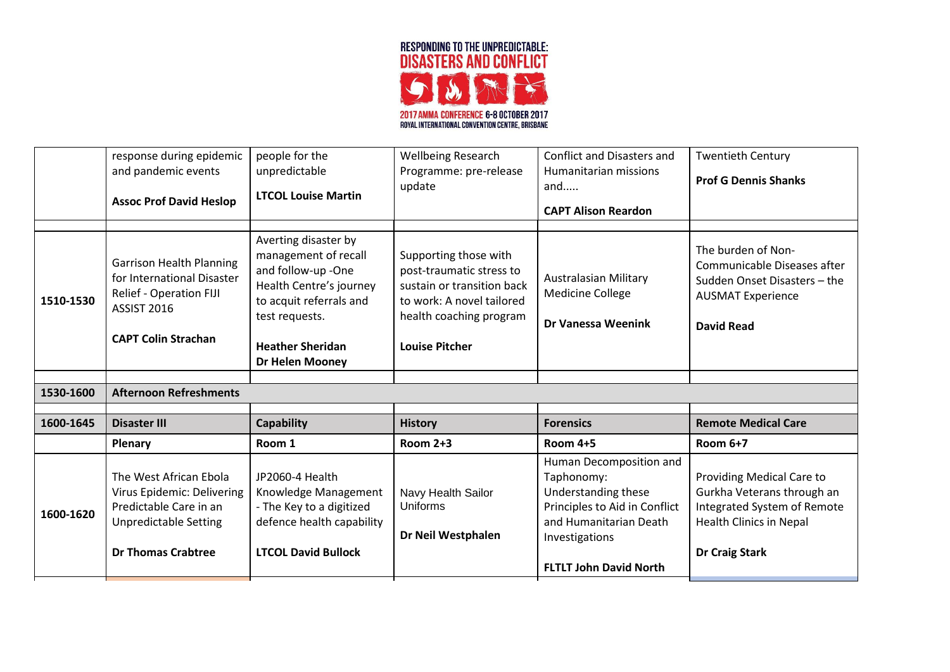

|           | response during epidemic                                                                                                                     | people for the                                                                                                                                                                                  | <b>Wellbeing Research</b>                                                                                                                                        | <b>Conflict and Disasters and</b>                                                                                                                                          | <b>Twentieth Century</b>                                                                                                                          |
|-----------|----------------------------------------------------------------------------------------------------------------------------------------------|-------------------------------------------------------------------------------------------------------------------------------------------------------------------------------------------------|------------------------------------------------------------------------------------------------------------------------------------------------------------------|----------------------------------------------------------------------------------------------------------------------------------------------------------------------------|---------------------------------------------------------------------------------------------------------------------------------------------------|
|           | and pandemic events                                                                                                                          | unpredictable                                                                                                                                                                                   | Programme: pre-release                                                                                                                                           | Humanitarian missions                                                                                                                                                      | <b>Prof G Dennis Shanks</b>                                                                                                                       |
|           | <b>Assoc Prof David Heslop</b>                                                                                                               | <b>LTCOL Louise Martin</b>                                                                                                                                                                      | update                                                                                                                                                           | and                                                                                                                                                                        |                                                                                                                                                   |
|           |                                                                                                                                              |                                                                                                                                                                                                 |                                                                                                                                                                  | <b>CAPT Alison Reardon</b>                                                                                                                                                 |                                                                                                                                                   |
| 1510-1530 | <b>Garrison Health Planning</b><br>for International Disaster<br>Relief - Operation FIJI<br><b>ASSIST 2016</b><br><b>CAPT Colin Strachan</b> | Averting disaster by<br>management of recall<br>and follow-up -One<br>Health Centre's journey<br>to acquit referrals and<br>test requests.<br><b>Heather Sheridan</b><br><b>Dr Helen Mooney</b> | Supporting those with<br>post-traumatic stress to<br>sustain or transition back<br>to work: A novel tailored<br>health coaching program<br><b>Louise Pitcher</b> | Australasian Military<br><b>Medicine College</b><br><b>Dr Vanessa Weenink</b>                                                                                              | The burden of Non-<br>Communicable Diseases after<br>Sudden Onset Disasters - the<br><b>AUSMAT Experience</b><br><b>David Read</b>                |
|           |                                                                                                                                              |                                                                                                                                                                                                 |                                                                                                                                                                  |                                                                                                                                                                            |                                                                                                                                                   |
| 1530-1600 | <b>Afternoon Refreshments</b>                                                                                                                |                                                                                                                                                                                                 |                                                                                                                                                                  |                                                                                                                                                                            |                                                                                                                                                   |
|           |                                                                                                                                              |                                                                                                                                                                                                 |                                                                                                                                                                  |                                                                                                                                                                            |                                                                                                                                                   |
| 1600-1645 | <b>Disaster III</b>                                                                                                                          | <b>Capability</b>                                                                                                                                                                               | <b>History</b>                                                                                                                                                   | <b>Forensics</b>                                                                                                                                                           | <b>Remote Medical Care</b>                                                                                                                        |
|           | <b>Plenary</b>                                                                                                                               | Room 1                                                                                                                                                                                          | Room 2+3                                                                                                                                                         | <b>Room 4+5</b>                                                                                                                                                            | Room 6+7                                                                                                                                          |
| 1600-1620 | The West African Ebola<br>Virus Epidemic: Delivering<br>Predictable Care in an<br><b>Unpredictable Setting</b><br><b>Dr Thomas Crabtree</b>  | JP2060-4 Health<br>Knowledge Management<br>- The Key to a digitized<br>defence health capability<br><b>LTCOL David Bullock</b>                                                                  | Navy Health Sailor<br>Uniforms<br>Dr Neil Westphalen                                                                                                             | Human Decomposition and<br>Taphonomy:<br>Understanding these<br>Principles to Aid in Conflict<br>and Humanitarian Death<br>Investigations<br><b>FLTLT John David North</b> | Providing Medical Care to<br>Gurkha Veterans through an<br>Integrated System of Remote<br><b>Health Clinics in Nepal</b><br><b>Dr Craig Stark</b> |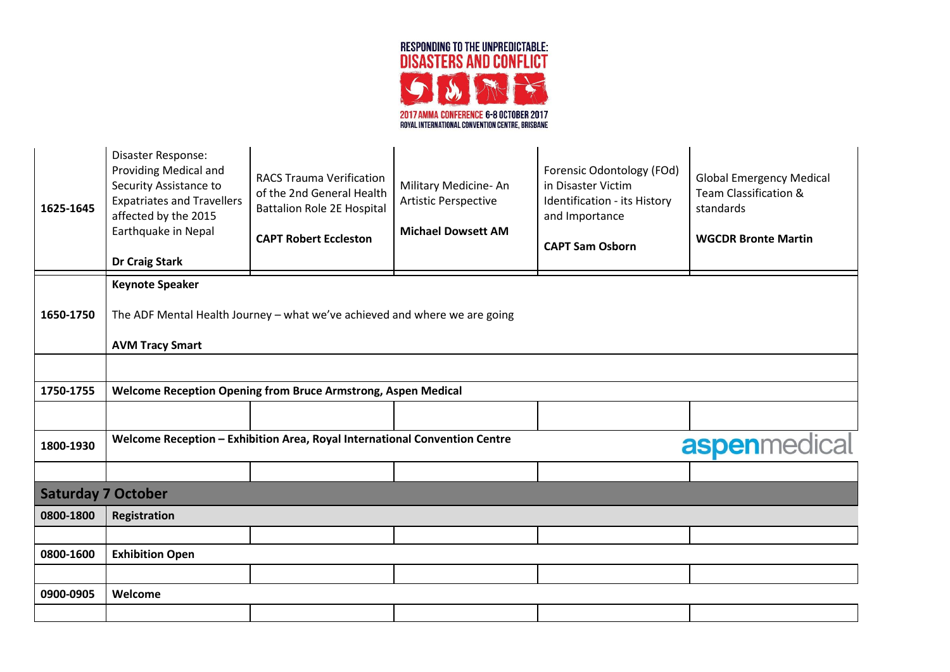

| 1625-1645 | Disaster Response:<br>Providing Medical and<br>Security Assistance to<br><b>Expatriates and Travellers</b><br>affected by the 2015<br>Earthquake in Nepal<br><b>Dr Craig Stark</b> | <b>RACS Trauma Verification</b><br>of the 2nd General Health<br><b>Battalion Role 2E Hospital</b><br><b>CAPT Robert Eccleston</b> | Military Medicine-An<br><b>Artistic Perspective</b><br><b>Michael Dowsett AM</b> | Forensic Odontology (FOd)<br>in Disaster Victim<br>Identification - its History<br>and Importance<br><b>CAPT Sam Osborn</b> | <b>Global Emergency Medical</b><br>Team Classification &<br>standards<br><b>WGCDR Bronte Martin</b> |
|-----------|------------------------------------------------------------------------------------------------------------------------------------------------------------------------------------|-----------------------------------------------------------------------------------------------------------------------------------|----------------------------------------------------------------------------------|-----------------------------------------------------------------------------------------------------------------------------|-----------------------------------------------------------------------------------------------------|
|           | <b>Keynote Speaker</b>                                                                                                                                                             |                                                                                                                                   |                                                                                  |                                                                                                                             |                                                                                                     |
| 1650-1750 | The ADF Mental Health Journey - what we've achieved and where we are going                                                                                                         |                                                                                                                                   |                                                                                  |                                                                                                                             |                                                                                                     |
|           | <b>AVM Tracy Smart</b>                                                                                                                                                             |                                                                                                                                   |                                                                                  |                                                                                                                             |                                                                                                     |
|           |                                                                                                                                                                                    |                                                                                                                                   |                                                                                  |                                                                                                                             |                                                                                                     |
| 1750-1755 |                                                                                                                                                                                    | Welcome Reception Opening from Bruce Armstrong, Aspen Medical                                                                     |                                                                                  |                                                                                                                             |                                                                                                     |
|           |                                                                                                                                                                                    |                                                                                                                                   |                                                                                  |                                                                                                                             |                                                                                                     |
| 1800-1930 |                                                                                                                                                                                    | Welcome Reception - Exhibition Area, Royal International Convention Centre                                                        |                                                                                  |                                                                                                                             | <b>aspenmedical</b>                                                                                 |
|           |                                                                                                                                                                                    |                                                                                                                                   |                                                                                  |                                                                                                                             |                                                                                                     |
|           | <b>Saturday 7 October</b>                                                                                                                                                          |                                                                                                                                   |                                                                                  |                                                                                                                             |                                                                                                     |
| 0800-1800 | Registration                                                                                                                                                                       |                                                                                                                                   |                                                                                  |                                                                                                                             |                                                                                                     |
|           |                                                                                                                                                                                    |                                                                                                                                   |                                                                                  |                                                                                                                             |                                                                                                     |
| 0800-1600 | <b>Exhibition Open</b>                                                                                                                                                             |                                                                                                                                   |                                                                                  |                                                                                                                             |                                                                                                     |
| 0900-0905 | Welcome                                                                                                                                                                            |                                                                                                                                   |                                                                                  |                                                                                                                             |                                                                                                     |
|           |                                                                                                                                                                                    |                                                                                                                                   |                                                                                  |                                                                                                                             |                                                                                                     |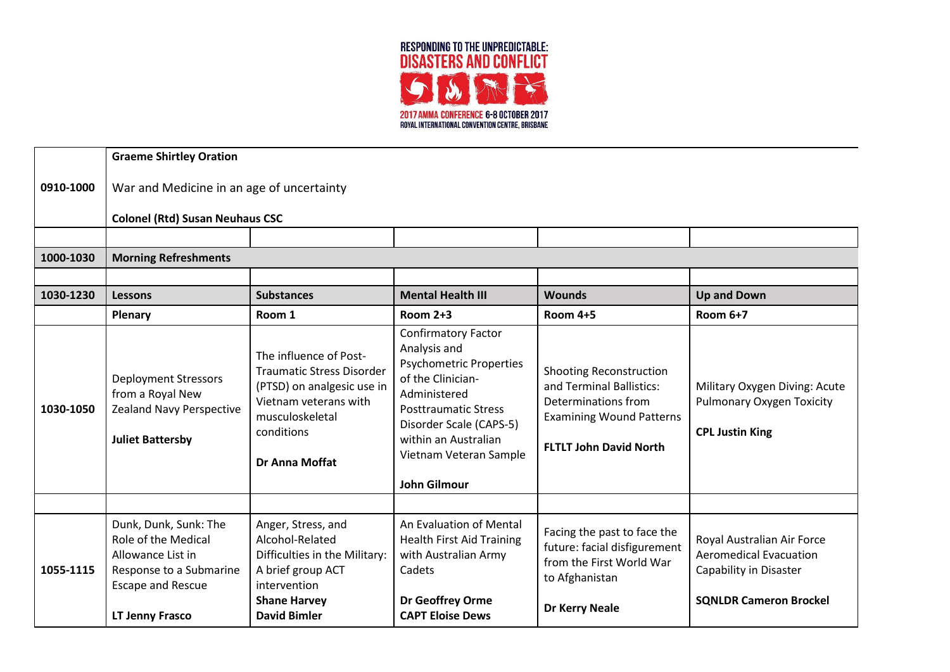

|           | <b>Graeme Shirtley Oration</b>                                                                                                                            |                                                                                                                                                                             |                                                                                                                                                                                                                                                      |                                                                                                                                                       |                                                                                                                        |
|-----------|-----------------------------------------------------------------------------------------------------------------------------------------------------------|-----------------------------------------------------------------------------------------------------------------------------------------------------------------------------|------------------------------------------------------------------------------------------------------------------------------------------------------------------------------------------------------------------------------------------------------|-------------------------------------------------------------------------------------------------------------------------------------------------------|------------------------------------------------------------------------------------------------------------------------|
| 0910-1000 | War and Medicine in an age of uncertainty                                                                                                                 |                                                                                                                                                                             |                                                                                                                                                                                                                                                      |                                                                                                                                                       |                                                                                                                        |
|           | <b>Colonel (Rtd) Susan Neuhaus CSC</b>                                                                                                                    |                                                                                                                                                                             |                                                                                                                                                                                                                                                      |                                                                                                                                                       |                                                                                                                        |
|           |                                                                                                                                                           |                                                                                                                                                                             |                                                                                                                                                                                                                                                      |                                                                                                                                                       |                                                                                                                        |
| 1000-1030 | <b>Morning Refreshments</b>                                                                                                                               |                                                                                                                                                                             |                                                                                                                                                                                                                                                      |                                                                                                                                                       |                                                                                                                        |
|           |                                                                                                                                                           |                                                                                                                                                                             |                                                                                                                                                                                                                                                      |                                                                                                                                                       |                                                                                                                        |
| 1030-1230 | <b>Lessons</b>                                                                                                                                            | <b>Substances</b>                                                                                                                                                           | <b>Mental Health III</b>                                                                                                                                                                                                                             | <b>Wounds</b>                                                                                                                                         | <b>Up and Down</b>                                                                                                     |
|           | Plenary                                                                                                                                                   | Room 1                                                                                                                                                                      | <b>Room 2+3</b>                                                                                                                                                                                                                                      | <b>Room 4+5</b>                                                                                                                                       | Room 6+7                                                                                                               |
| 1030-1050 | <b>Deployment Stressors</b><br>from a Royal New<br><b>Zealand Navy Perspective</b><br><b>Juliet Battersby</b>                                             | The influence of Post-<br><b>Traumatic Stress Disorder</b><br>(PTSD) on analgesic use in<br>Vietnam veterans with<br>musculoskeletal<br>conditions<br><b>Dr Anna Moffat</b> | <b>Confirmatory Factor</b><br>Analysis and<br><b>Psychometric Properties</b><br>of the Clinician-<br>Administered<br><b>Posttraumatic Stress</b><br>Disorder Scale (CAPS-5)<br>within an Australian<br>Vietnam Veteran Sample<br><b>John Gilmour</b> | <b>Shooting Reconstruction</b><br>and Terminal Ballistics:<br>Determinations from<br><b>Examining Wound Patterns</b><br><b>FLTLT John David North</b> | Military Oxygen Diving: Acute<br><b>Pulmonary Oxygen Toxicity</b><br><b>CPL Justin King</b>                            |
|           |                                                                                                                                                           |                                                                                                                                                                             |                                                                                                                                                                                                                                                      |                                                                                                                                                       |                                                                                                                        |
| 1055-1115 | Dunk, Dunk, Sunk: The<br><b>Role of the Medical</b><br>Allowance List in<br>Response to a Submarine<br><b>Escape and Rescue</b><br><b>LT Jenny Frasco</b> | Anger, Stress, and<br>Alcohol-Related<br>Difficulties in the Military:<br>A brief group ACT<br>intervention<br><b>Shane Harvey</b><br><b>David Bimler</b>                   | An Evaluation of Mental<br><b>Health First Aid Training</b><br>with Australian Army<br>Cadets<br>Dr Geoffrey Orme<br><b>CAPT Eloise Dews</b>                                                                                                         | Facing the past to face the<br>future: facial disfigurement<br>from the First World War<br>to Afghanistan<br><b>Dr Kerry Neale</b>                    | Royal Australian Air Force<br><b>Aeromedical Evacuation</b><br>Capability in Disaster<br><b>SQNLDR Cameron Brockel</b> |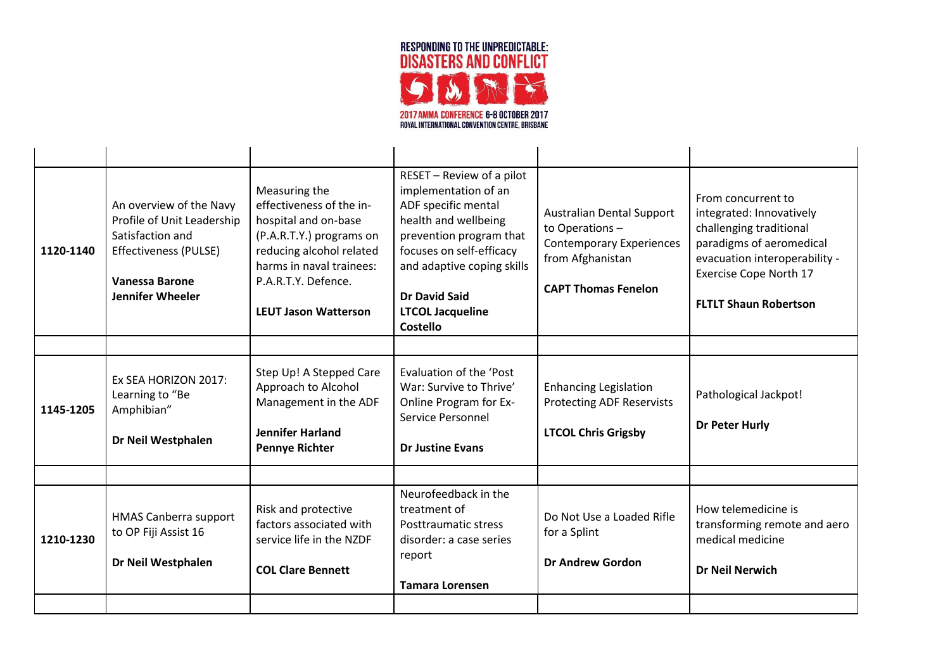

| 1120-1140 | An overview of the Navy<br>Profile of Unit Leadership<br>Satisfaction and<br>Effectiveness (PULSE)<br><b>Vanessa Barone</b><br><b>Jennifer Wheeler</b> | Measuring the<br>effectiveness of the in-<br>hospital and on-base<br>(P.A.R.T.Y.) programs on<br>reducing alcohol related<br>harms in naval trainees:<br>P.A.R.T.Y. Defence.<br><b>LEUT Jason Watterson</b> | RESET - Review of a pilot<br>implementation of an<br>ADF specific mental<br>health and wellbeing<br>prevention program that<br>focuses on self-efficacy<br>and adaptive coping skills<br>Dr David Said<br><b>LTCOL Jacqueline</b><br><b>Costello</b> | <b>Australian Dental Support</b><br>to Operations -<br><b>Contemporary Experiences</b><br>from Afghanistan<br><b>CAPT Thomas Fenelon</b> | From concurrent to<br>integrated: Innovatively<br>challenging traditional<br>paradigms of aeromedical<br>evacuation interoperability -<br>Exercise Cope North 17<br><b>FLTLT Shaun Robertson</b> |
|-----------|--------------------------------------------------------------------------------------------------------------------------------------------------------|-------------------------------------------------------------------------------------------------------------------------------------------------------------------------------------------------------------|------------------------------------------------------------------------------------------------------------------------------------------------------------------------------------------------------------------------------------------------------|------------------------------------------------------------------------------------------------------------------------------------------|--------------------------------------------------------------------------------------------------------------------------------------------------------------------------------------------------|
|           |                                                                                                                                                        |                                                                                                                                                                                                             |                                                                                                                                                                                                                                                      |                                                                                                                                          |                                                                                                                                                                                                  |
| 1145-1205 | Ex SEA HORIZON 2017:<br>Learning to "Be<br>Amphibian"<br>Dr Neil Westphalen                                                                            | Step Up! A Stepped Care<br>Approach to Alcohol<br>Management in the ADF<br><b>Jennifer Harland</b><br><b>Pennye Richter</b>                                                                                 | Evaluation of the 'Post<br>War: Survive to Thrive'<br>Online Program for Ex-<br>Service Personnel<br><b>Dr Justine Evans</b>                                                                                                                         | <b>Enhancing Legislation</b><br><b>Protecting ADF Reservists</b><br><b>LTCOL Chris Grigsby</b>                                           | Pathological Jackpot!<br><b>Dr Peter Hurly</b>                                                                                                                                                   |
|           |                                                                                                                                                        |                                                                                                                                                                                                             |                                                                                                                                                                                                                                                      |                                                                                                                                          |                                                                                                                                                                                                  |
| 1210-1230 | <b>HMAS Canberra support</b><br>to OP Fiji Assist 16<br>Dr Neil Westphalen                                                                             | Risk and protective<br>factors associated with<br>service life in the NZDF<br><b>COL Clare Bennett</b>                                                                                                      | Neurofeedback in the<br>treatment of<br>Posttraumatic stress<br>disorder: a case series<br>report<br><b>Tamara Lorensen</b>                                                                                                                          | Do Not Use a Loaded Rifle<br>for a Splint<br><b>Dr Andrew Gordon</b>                                                                     | How telemedicine is<br>transforming remote and aero<br>medical medicine<br><b>Dr Neil Nerwich</b>                                                                                                |
|           |                                                                                                                                                        |                                                                                                                                                                                                             |                                                                                                                                                                                                                                                      |                                                                                                                                          |                                                                                                                                                                                                  |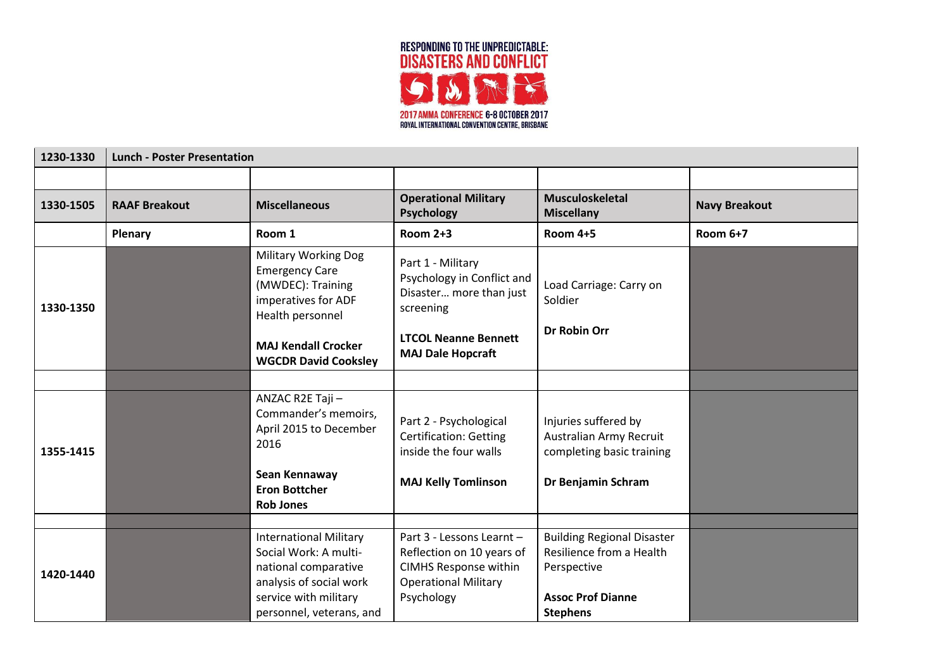

| 1230-1330 | <b>Lunch - Poster Presentation</b> |                                                                                                                                    |                                                                                                                                     |                                                                                                          |                      |
|-----------|------------------------------------|------------------------------------------------------------------------------------------------------------------------------------|-------------------------------------------------------------------------------------------------------------------------------------|----------------------------------------------------------------------------------------------------------|----------------------|
|           |                                    |                                                                                                                                    |                                                                                                                                     |                                                                                                          |                      |
| 1330-1505 | <b>RAAF Breakout</b>               | <b>Miscellaneous</b>                                                                                                               | <b>Operational Military</b><br><b>Psychology</b>                                                                                    | <b>Musculoskeletal</b><br><b>Miscellany</b>                                                              | <b>Navy Breakout</b> |
|           | <b>Plenary</b>                     | Room 1                                                                                                                             | <b>Room 2+3</b>                                                                                                                     | <b>Room 4+5</b>                                                                                          | <b>Room 6+7</b>      |
| 1330-1350 |                                    | <b>Military Working Dog</b><br><b>Emergency Care</b><br>(MWDEC): Training<br>imperatives for ADF<br>Health personnel               | Part 1 - Military<br>Psychology in Conflict and<br>Disaster more than just<br>screening                                             | Load Carriage: Carry on<br>Soldier                                                                       |                      |
|           |                                    | <b>MAJ Kendall Crocker</b><br><b>WGCDR David Cooksley</b>                                                                          | <b>LTCOL Neanne Bennett</b><br><b>MAJ Dale Hopcraft</b>                                                                             | <b>Dr Robin Orr</b>                                                                                      |                      |
|           |                                    |                                                                                                                                    |                                                                                                                                     |                                                                                                          |                      |
| 1355-1415 |                                    | ANZAC R2E Taji-<br>Commander's memoirs,<br>April 2015 to December<br>2016                                                          | Part 2 - Psychological<br><b>Certification: Getting</b><br>inside the four walls                                                    | Injuries suffered by<br>Australian Army Recruit<br>completing basic training                             |                      |
|           |                                    | Sean Kennaway<br><b>Eron Bottcher</b><br><b>Rob Jones</b>                                                                          | <b>MAJ Kelly Tomlinson</b>                                                                                                          | Dr Benjamin Schram                                                                                       |                      |
|           |                                    |                                                                                                                                    |                                                                                                                                     |                                                                                                          |                      |
| 1420-1440 |                                    | <b>International Military</b><br>Social Work: A multi-<br>national comparative<br>analysis of social work<br>service with military | Part 3 - Lessons Learnt -<br>Reflection on 10 years of<br><b>CIMHS Response within</b><br><b>Operational Military</b><br>Psychology | <b>Building Regional Disaster</b><br>Resilience from a Health<br>Perspective<br><b>Assoc Prof Dianne</b> |                      |
|           |                                    | personnel, veterans, and                                                                                                           |                                                                                                                                     | <b>Stephens</b>                                                                                          |                      |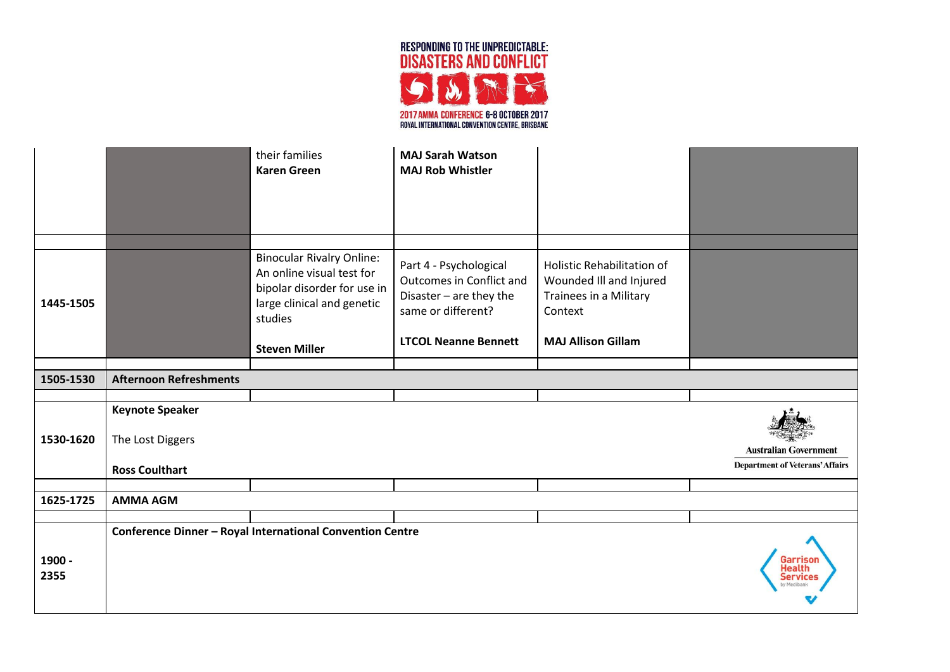

|                |                                                                     | their families<br><b>Karen Green</b>                                                                                                                          | <b>MAJ Sarah Watson</b><br><b>MAJ Rob Whistler</b>                                                                                 |                                                                                                                                |                                                                        |
|----------------|---------------------------------------------------------------------|---------------------------------------------------------------------------------------------------------------------------------------------------------------|------------------------------------------------------------------------------------------------------------------------------------|--------------------------------------------------------------------------------------------------------------------------------|------------------------------------------------------------------------|
| 1445-1505      |                                                                     | <b>Binocular Rivalry Online:</b><br>An online visual test for<br>bipolar disorder for use in<br>large clinical and genetic<br>studies<br><b>Steven Miller</b> | Part 4 - Psychological<br>Outcomes in Conflict and<br>Disaster - are they the<br>same or different?<br><b>LTCOL Neanne Bennett</b> | <b>Holistic Rehabilitation of</b><br>Wounded III and Injured<br>Trainees in a Military<br>Context<br><b>MAJ Allison Gillam</b> |                                                                        |
| 1505-1530      | <b>Afternoon Refreshments</b>                                       |                                                                                                                                                               |                                                                                                                                    |                                                                                                                                |                                                                        |
|                |                                                                     |                                                                                                                                                               |                                                                                                                                    |                                                                                                                                |                                                                        |
| 1530-1620      | <b>Keynote Speaker</b><br>The Lost Diggers<br><b>Ross Coulthart</b> |                                                                                                                                                               |                                                                                                                                    |                                                                                                                                | <b>Australian Government</b><br><b>Department of Veterans' Affairs</b> |
|                |                                                                     |                                                                                                                                                               |                                                                                                                                    |                                                                                                                                |                                                                        |
| 1625-1725      | <b>AMMA AGM</b>                                                     |                                                                                                                                                               |                                                                                                                                    |                                                                                                                                |                                                                        |
|                |                                                                     | <b>Conference Dinner - Royal International Convention Centre</b>                                                                                              |                                                                                                                                    |                                                                                                                                |                                                                        |
| 1900 -<br>2355 |                                                                     |                                                                                                                                                               |                                                                                                                                    |                                                                                                                                | Garrisol<br>Service                                                    |